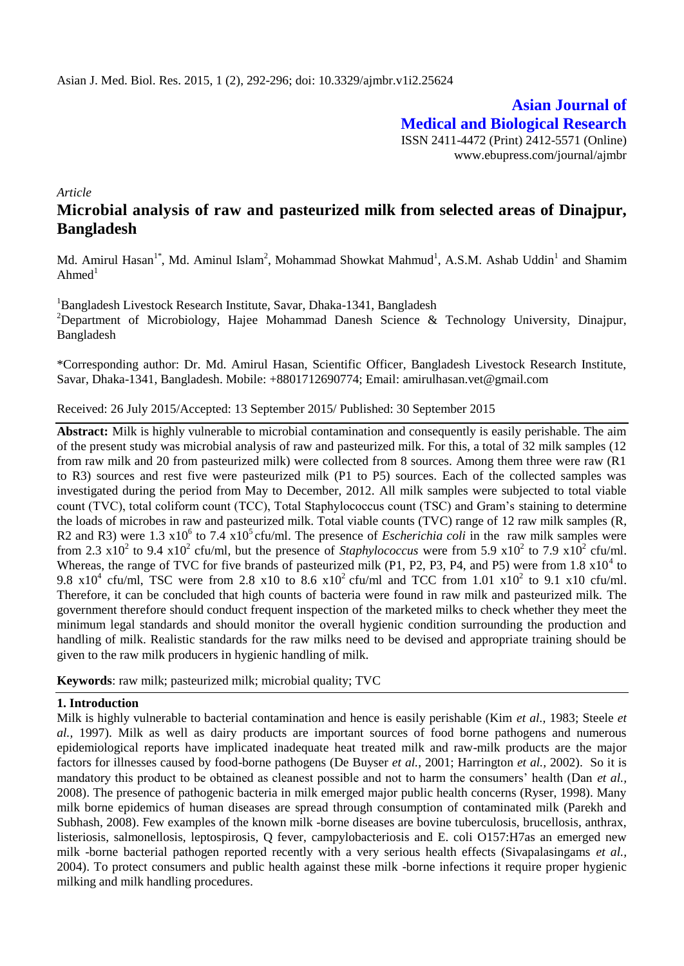**Asian Journal of Medical and Biological Research** ISSN 2411-4472 (Print) 2412-5571 (Online) www.ebupress.com/journal/ajmbr

*Article*

# **Microbial analysis of raw and pasteurized milk from selected areas of Dinajpur, Bangladesh**

Md. Amirul Hasan<sup>1\*</sup>, Md. Aminul Islam<sup>2</sup>, Mohammad Showkat Mahmud<sup>1</sup>, A.S.M. Ashab Uddin<sup>1</sup> and Shamim Ahmed $1$ 

<sup>1</sup>Bangladesh Livestock Research Institute, Savar, Dhaka-1341, Bangladesh

<sup>2</sup>Department of Microbiology, Hajee Mohammad Danesh Science & Technology University, Dinajpur, Bangladesh

\*Corresponding author: Dr. Md. Amirul Hasan, Scientific Officer, Bangladesh Livestock Research Institute, Savar, Dhaka-1341, Bangladesh. Mobile: +8801712690774; Email: [amirulhasan.vet@gmail.com](mailto:amirulhasan.vet@gmail.com)

Received: 26 July 2015/Accepted: 13 September 2015/ Published: 30 September 2015

**Abstract:** Milk is highly vulnerable to microbial contamination and consequently is easily perishable. The aim of the present study was microbial analysis of raw and pasteurized milk. For this, a total of 32 milk samples (12 from raw milk and 20 from pasteurized milk) were collected from 8 sources. Among them three were raw (R1 to R3) sources and rest five were pasteurized milk (P1 to P5) sources. Each of the collected samples was investigated during the period from May to December, 2012. All milk samples were subjected to total viable count (TVC), total coliform count (TCC), Total Staphylococcus count (TSC) and Gram's staining to determine the loads of microbes in raw and pasteurized milk. Total viable counts (TVC) range of 12 raw milk samples (R, R2 and R3) were 1.3  $x10^6$  to 7.4  $x10^5$  cfu/ml. The presence of *Escherichia coli* in the raw milk samples were from 2.3  $x10^2$  to 9.4  $x10^2$  cfu/ml, but the presence of *Staphylococcus* were from 5.9  $x10^2$  to 7.9  $x10^2$  cfu/ml. Whereas, the range of TVC for five brands of pasteurized milk (P1, P2, P3, P4, and P5) were from 1.8  $\times 10^4$  to 9.8  $x10^4$  cfu/ml, TSC were from 2.8  $x10$  to 8.6  $x10^2$  cfu/ml and TCC from 1.01  $x10^2$  to 9.1  $x10$  cfu/ml. Therefore, it can be concluded that high counts of bacteria were found in raw milk and pasteurized milk. The government therefore should conduct frequent inspection of the marketed milks to check whether they meet the minimum legal standards and should monitor the overall hygienic condition surrounding the production and handling of milk. Realistic standards for the raw milks need to be devised and appropriate training should be given to the raw milk producers in hygienic handling of milk.

**Keywords**: raw milk; pasteurized milk; microbial quality; TVC

### **1. Introduction**

Milk is highly vulnerable to bacterial contamination and hence is easily perishable (Kim *et al.,* 1983; Steele *et al.,* 1997). Milk as well as dairy products are important sources of food borne pathogens and numerous epidemiological reports have implicated inadequate heat treated milk and raw-milk products are the major factors for illnesses caused by food-borne pathogens (De Buyser *et al.*, 2001; Harrington *et al.,* 2002). So it is mandatory this product to be obtained as cleanest possible and not to harm the consumers' health (Dan *et al.,* 2008). The presence of pathogenic bacteria in milk emerged major public health concerns (Ryser, 1998). Many milk borne epidemics of human diseases are spread through consumption of contaminated milk (Parekh and Subhash, 2008). Few examples of the known milk -borne diseases are bovine tuberculosis, brucellosis, anthrax, listeriosis, salmonellosis, leptospirosis, Q fever, campylobacteriosis and E. coli O157:H7as an emerged new milk -borne bacterial pathogen reported recently with a very serious health effects (Sivapalasingams *et al.,* 2004). To protect consumers and public health against these milk -borne infections it require proper hygienic milking and milk handling procedures.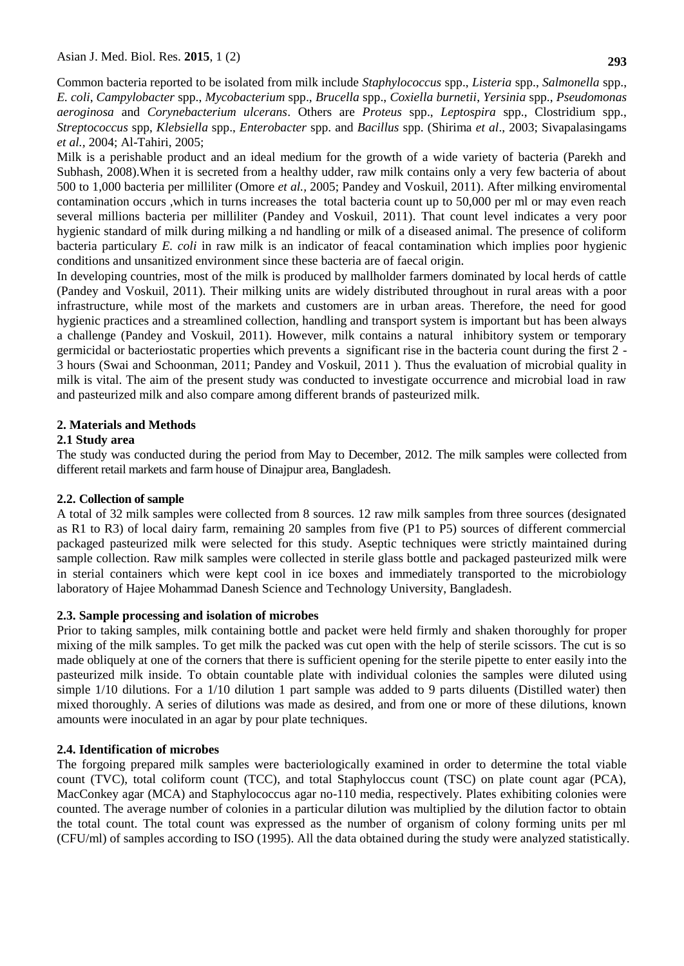Common bacteria reported to be isolated from milk include *Staphylococcus* spp., *Listeria* spp., *Salmonella* spp., *E. coli*, *Campylobacter* spp., *Mycobacterium* spp., *Brucella* spp., *Coxiella burnetii*, *Yersinia* spp., *Pseudomonas aeroginosa* and *Corynebacterium ulcerans*. Others are *Proteus* spp., *Leptospira* spp., Clostridium spp., *Streptococcus* spp, *Klebsiella* spp., *Enterobacter* spp. and *Bacillus* spp. (Shirima *et al*., 2003; Sivapalasingams *et al.,* 2004; Al-Tahiri, 2005;

Milk is a perishable product and an ideal medium for the growth of a wide variety of bacteria (Parekh and Subhash, 2008).When it is secreted from a healthy udder, raw milk contains only a very few bacteria of about 500 to 1,000 bacteria per milliliter (Omore *et al.,* 2005; Pandey and Voskuil, 2011). After milking enviromental contamination occurs ,which in turns increases the total bacteria count up to 50,000 per ml or may even reach several millions bacteria per milliliter (Pandey and Voskuil, 2011). That count level indicates a very poor hygienic standard of milk during milking a nd handling or milk of a diseased animal. The presence of coliform bacteria particulary *E. coli* in raw milk is an indicator of feacal contamination which implies poor hygienic conditions and unsanitized environment since these bacteria are of faecal origin.

In developing countries, most of the milk is produced by mallholder farmers dominated by local herds of cattle (Pandey and Voskuil, 2011). Their milking units are widely distributed throughout in rural areas with a poor infrastructure, while most of the markets and customers are in urban areas. Therefore, the need for good hygienic practices and a streamlined collection, handling and transport system is important but has been always a challenge (Pandey and Voskuil, 2011). However, milk contains a natural inhibitory system or temporary germicidal or bacteriostatic properties which prevents a significant rise in the bacteria count during the first 2 - 3 hours (Swai and Schoonman, 2011; Pandey and Voskuil, 2011 ). Thus the evaluation of microbial quality in milk is vital. The aim of the present study was conducted to investigate occurrence and microbial load in raw and pasteurized milk and also compare among different brands of pasteurized milk.

# **2. Materials and Methods**

# **2.1 Study area**

The study was conducted during the period from May to December, 2012. The milk samples were collected from different retail markets and farm house of Dinajpur area, Bangladesh.

# **2.2. Collection of sample**

A total of 32 milk samples were collected from 8 sources. 12 raw milk samples from three sources (designated as R1 to R3) of local dairy farm, remaining 20 samples from five (P1 to P5) sources of different commercial packaged pasteurized milk were selected for this study. Aseptic techniques were strictly maintained during sample collection. Raw milk samples were collected in sterile glass bottle and packaged pasteurized milk were in sterial containers which were kept cool in ice boxes and immediately transported to the microbiology laboratory of Hajee Mohammad Danesh Science and Technology University, Bangladesh.

# **2.3. Sample processing and isolation of microbes**

Prior to taking samples, milk containing bottle and packet were held firmly and shaken thoroughly for proper mixing of the milk samples. To get milk the packed was cut open with the help of sterile scissors. The cut is so made obliquely at one of the corners that there is sufficient opening for the sterile pipette to enter easily into the pasteurized milk inside. To obtain countable plate with individual colonies the samples were diluted using simple 1/10 dilutions. For a 1/10 dilution 1 part sample was added to 9 parts diluents (Distilled water) then mixed thoroughly. A series of dilutions was made as desired, and from one or more of these dilutions, known amounts were inoculated in an agar by pour plate techniques.

# **2.4. Identification of microbes**

The forgoing prepared milk samples were bacteriologically examined in order to determine the total viable count (TVC), total coliform count (TCC), and total Staphyloccus count (TSC) on plate count agar (PCA), MacConkey agar (MCA) and Staphylococcus agar no-110 media, respectively. Plates exhibiting colonies were counted. The average number of colonies in a particular dilution was multiplied by the dilution factor to obtain the total count. The total count was expressed as the number of organism of colony forming units per ml (CFU/ml) of samples according to ISO (1995). All the data obtained during the study were analyzed statistically.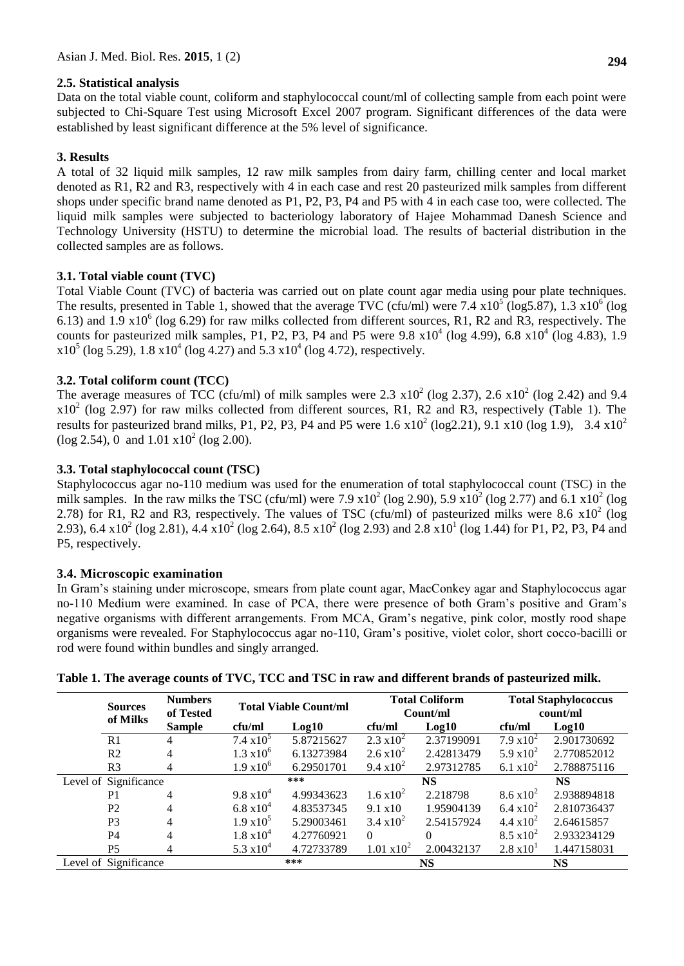### **2.5. Statistical analysis**

Data on the total viable count, coliform and staphylococcal count/ml of collecting sample from each point were subjected to Chi-Square Test using Microsoft Excel 2007 program. Significant differences of the data were established by least significant difference at the 5% level of significance.

# **3. Results**

A total of 32 liquid milk samples, 12 raw milk samples from dairy farm, chilling center and local market denoted as R1, R2 and R3, respectively with 4 in each case and rest 20 pasteurized milk samples from different shops under specific brand name denoted as P1, P2, P3, P4 and P5 with 4 in each case too, were collected. The liquid milk samples were subjected to bacteriology laboratory of Hajee Mohammad Danesh Science and Technology University (HSTU) to determine the microbial load. The results of bacterial distribution in the collected samples are as follows.

# **3.1. Total viable count (TVC)**

Total Viable Count (TVC) of bacteria was carried out on plate count agar media using pour plate techniques. The results, presented in [Table](file:///D:/MS%202011/MS%20Thesis/Article/Milk/Physicochemical%20and%20Microbiological%20Quality%20of%20Raw,%20Pasteurized%20and%20UHT%20Milks%20in%20Shops.html%23t1) 1, showed that the average TVC (cfu/ml) were 7.4  $x10^5$  (log5.87), 1.3  $x10^6$  (log 6.13) and 1.9  $x10^6$  (log 6.29) for raw milks collected from different sources, R1, R2 and R3, respectively. The counts for pasteurized milk samples, P1, P2, P3, P4 and P5 were  $9.8 \times 10^4$  (log  $4.99$ ),  $6.8 \times 10^4$  (log  $4.83$ ), 1.9  $x10^5$  (log 5.29), 1.8  $x10^4$  (log 4.27) and 5.3  $x10^4$  (log 4.72), respectively.

# **3.2. Total coliform count (TCC)**

The average measures of TCC (cfu/ml) of milk samples were 2.3  $\times 10^2$  (log 2.37), 2.6  $\times 10^2$  (log 2.42) and 9.4  $x10<sup>2</sup>$  (log 2.97) for raw milks collected from different sources, R1, R2 and R3, respectively (Table 1). The results for pasteurized brand milks, P1, P2, P3, P4 and P5 were 1.6  $x10^2$  (log2.21), 9.1  $x10$  (log 1.9), 3.4  $x10^2$  $(\log 2.54)$ , 0 and  $1.01 \times 10^2$  (log 2.00).

# **3.3. Total staphylococcal count (TSC)**

Staphylococcus agar no-110 medium was used for the enumeration of total staphylococcal count (TSC) in the milk samples. In the raw milks the TSC (cfu/ml) were 7.9  $x10^2$  (log 2.90), 5.9  $x10^2$  (log 2.77) and 6.1  $x10^2$  (log 2.78) for R1, R2 and R3, respectively. The values of TSC (cfu/ml) of pasteurized milks were 8.6  $\times 10^2$  (log 2.93), 6.4 x10<sup>2</sup> (log 2.81), 4.4 x10<sup>2</sup> (log 2.64), 8.5 x10<sup>2</sup> (log 2.93) and 2.8 x10<sup>1</sup> (log 1.44) for P1, P2, P3, P4 and P5, respectively.

# **3.4. Microscopic examination**

In Gram's staining under microscope, smears from plate count agar, MacConkey agar and Staphylococcus agar no-110 Medium were examined. In case of PCA, there were presence of both Gram's positive and Gram's negative organisms with different arrangements. From MCA, Gram's negative, pink color, mostly rood shape organisms were revealed. For Staphylococcus agar no-110, Gram's positive, violet color, short cocco-bacilli or rod were found within bundles and singly arranged.

|                       | <b>Sources</b><br>of Milks | <b>Numbers</b><br>of Tested | <b>Total Viable Count/ml</b> |            | <b>Total Coliform</b><br>Count/ml |            | <b>Total Staphylococcus</b><br>count/ml |             |
|-----------------------|----------------------------|-----------------------------|------------------------------|------------|-----------------------------------|------------|-----------------------------------------|-------------|
|                       |                            | <b>Sample</b>               | cfu/ml                       | Log10      | cfu/ml                            | Log10      | cfu/ml                                  | Log10       |
|                       | R <sub>1</sub>             | 4                           | $7.4 \times 10^{5}$          | 5.87215627 | $2.3 \text{ x}10^2$               | 2.37199091 | $7.9 \times 10^{2}$                     | 2.901730692 |
|                       | R <sub>2</sub>             | 4                           | $1.3 \times 10^{6}$          | 6.13273984 | $2.6 \times 10^{2}$               | 2.42813479 | 5.9 $x10^2$                             | 2.770852012 |
|                       | R <sub>3</sub>             | 4                           | $1.9 \times 10^{6}$          | 6.29501701 | 9.4 $x10^2$                       | 2.97312785 | 6.1 $x10^2$                             | 2.788875116 |
| Level of Significance |                            |                             |                              | ***        |                                   | <b>NS</b>  |                                         | <b>NS</b>   |
|                       | P <sub>1</sub>             | 4                           | $9.8 \times 10^{4}$          | 4.99343623 | $1.6 \times 10^{2}$               | 2.218798   | $8.6 \times 10^{2}$                     | 2.938894818 |
|                       | P <sub>2</sub>             | 4                           | $6.8 \times 10^{4}$          | 4.83537345 | $9.1 \times 10$                   | 1.95904139 | 6.4 $x10^2$                             | 2.810736437 |
|                       | P <sub>3</sub>             | 4                           | $1.9 \times 10^5$            | 5.29003461 | $3.4 \times 10^{2}$               | 2.54157924 | 4.4 $x10^2$                             | 2.64615857  |
|                       | P <sub>4</sub>             | 4                           | $1.8 \times 10^{4}$          | 4.27760921 | $\Omega$                          | 0          | $8.5 \times 10^{2}$                     | 2.933234129 |
|                       | P <sub>5</sub>             | 4                           | 5.3 $x10^4$                  | 4.72733789 | $1.01 \times 10^{2}$              | 2.00432137 | $2.8 \times 10^{1}$                     | 1.447158031 |
| Level of Significance |                            | ***                         |                              | <b>NS</b>  |                                   | <b>NS</b>  |                                         |             |

# **Table 1. The average counts of TVC, TCC and TSC in raw and different brands of pasteurized milk.**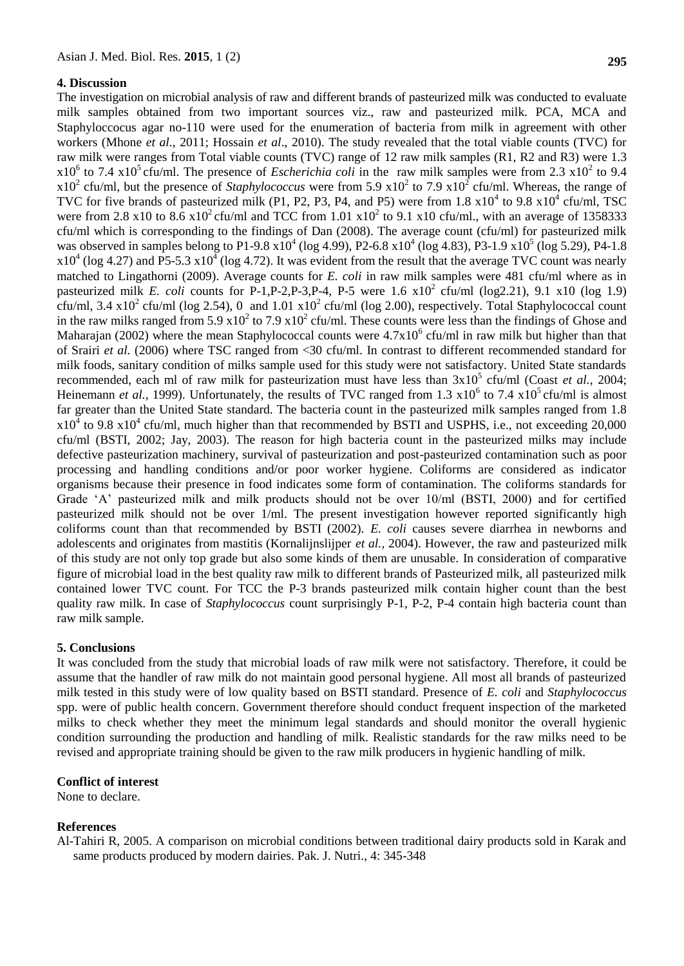#### **4. Discussion**

The investigation on microbial analysis of raw and different brands of pasteurized milk was conducted to evaluate milk samples obtained from two important sources viz., raw and pasteurized milk. PCA, MCA and Staphyloccocus agar no-110 were used for the enumeration of bacteria from milk in agreement with other workers (Mhone *et al.*, 2011; Hossain *et al*., 2010). The study revealed that the total viable counts (TVC) for raw milk were ranges from Total viable counts (TVC) range of 12 raw milk samples (R1, R2 and R3) were 1.3  $x10^6$  to 7.4  $x10^5$  cfu/ml. The presence of *Escherichia coli* in the raw milk samples were from 2.3  $x10^2$  to 9.4  $x10^2$  cfu/ml, but the presence of *Staphylococcus* were from 5.9  $x10^2$  to 7.9  $x10^2$  cfu/ml. Whereas, the range of TVC for five brands of pasteurized milk (P1, P2, P3, P4, and P5) were from 1.8  $x10^4$  to 9.8  $x10^4$  cfu/ml, TSC were from 2.8 x10 to 8.6 x10<sup>2</sup> cfu/ml and TCC from 1.01 x10<sup>2</sup> to 9.1 x10 cfu/ml., with an average of 1358333 cfu/ml which is corresponding to the findings of Dan (2008). The average count (cfu/ml) for pasteurized milk was observed in samples belong to P1-9.8  $x10^4$  (log 4.99), P2-6.8  $x10^4$  (log 4.83), P3-1.9  $x10^5$  (log 5.29), P4-1.8  $x10^4$  (log 4.27) and P5-5.3  $x10^4$  (log 4.72). It was evident from the result that the average TVC count was nearly matched to Lingathorni (2009). Average counts for *E. coli* in raw milk samples were 481 cfu/ml where as in pasteurized milk *E. coli* counts for P-1,P-2,P-3,P-4, P-5 were  $1.6 \times 10^2$  cfu/ml (log2.21), 9.1 x10 (log 1.9) cfu/ml, 3.4 x10<sup>2</sup> cfu/ml (log 2.54), 0 and 1.01 x10<sup>2</sup> cfu/ml (log 2.00), respectively. Total Staphylococcal count in the raw milks ranged from 5.9  $x10^2$  to 7.9  $x10^2$  cfu/ml. These counts were less than the findings of Ghose and [Maharajan \(2002\) w](javascript:;)here the mean Staphylococcal counts were  $4.7x10^6$  cfu/ml in raw milk but higher than that of Srairi *et al.* [\(2006\) w](javascript:;)here TSC ranged from <30 cfu/ml. In contrast to different recommended standard for milk foods, sanitary condition of milks sample used for this study were not satisfactory. United State standards recommended, each ml of [raw milk](http://www.scialert.net/asci/result.php?searchin=Keywords&cat=&ascicat=ALL&Submit=Search&keyword=raw+milk) for pasteurization must have less than  $3x10^5$  cfu/ml (Coast *et al.,* 2004; Heinemann *et al.*, 1999). Unfortunately, the results of TVC ranged from 1.3  $x10^6$  to 7.4  $x10^5$  cfu/ml is almost far greater than the United State standard. The bacteria count in the pasteurized milk samples ranged from 1.8  $x10<sup>4</sup>$  to 9.8  $x10<sup>4</sup>$  cfu/ml, much higher than that recommended by BSTI and USPHS, i.e., not exceeding 20,000 cfu/ml [\(BSTI, 2002;](javascript:;) [Jay, 2003\)](javascript:;). The reason for high bacteria count in the pasteurized milks may include defective pasteurization machinery, survival of pasteurization and post-pasteurized contamination such as poor processing and handling conditions and/or poor worker hygiene. Coliforms are considered as indicator organisms because their presence in food indicates some form of contamination. The coliforms standards for Grade 'A' pasteurized milk and milk products should not be over 10/ml (BSTI, 2000) and for certified pasteurized milk should not be over 1/ml. The present investigation however reported significantly high coliforms count than that recommended by BSTI (2002). *E. coli* causes severe diarrhea in newborns and adolescents and originates from mastitis (Kornalijnslijper *et al.,* 2004). However, the raw and pasteurized milk of this study are not only top grade but also some kinds of them are unusable. In consideration of comparative figure of microbial load in the best quality raw milk to different brands of Pasteurized milk, all pasteurized milk contained lower TVC count. For TCC the P-3 brands pasteurized milk contain higher count than the best quality raw milk. In case of *Staphylococcus* count surprisingly P-1, P-2, P-4 contain high bacteria count than raw milk sample.

#### **5. Conclusions**

It was concluded from the study that microbial loads of raw milk were not satisfactory. Therefore, it could be assume that the handler of raw milk do not maintain good personal hygiene. All most all brands of pasteurized milk tested in this study were of low quality based on BSTI standard. Presence of *E. coli* and *Staphylococcus* spp. were of public health concern. Government therefore should conduct frequent inspection of the marketed milks to check whether they meet the minimum legal standards and should monitor the overall hygienic condition surrounding the production and handling of milk. Realistic standards for the raw milks need to be revised and appropriate training should be given to the raw milk producers in hygienic handling of milk.

#### **Conflict of interest**

None to declare.

#### **References**

Al-Tahiri R, 2005. A comparison on microbial conditions between traditional dairy products sold in Karak and same products produced by modern dairies. Pak. J. Nutri., 4: 345-348